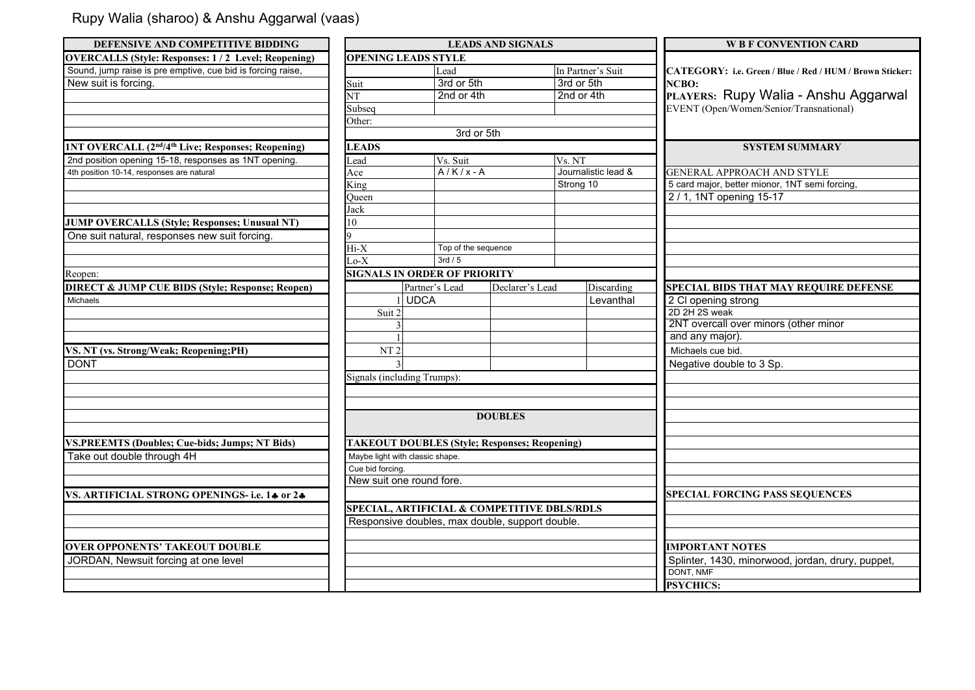## Rupy Walia (sharoo) & Anshu Aggarwal (vaas)

| DEFENSIVE AND COMPETITIVE BIDDING                                          |                                                 |                                                      | <b>LEADS AND SIGNALS</b> |                          | <b>W B F CONVENTION CARD</b>                                      |  |
|----------------------------------------------------------------------------|-------------------------------------------------|------------------------------------------------------|--------------------------|--------------------------|-------------------------------------------------------------------|--|
| <b>OVERCALLS (Style: Responses: 1/2 Level; Reopening)</b>                  |                                                 | <b>OPENING LEADS STYLE</b>                           |                          |                          |                                                                   |  |
| Sound, jump raise is pre emptive, cue bid is forcing raise,                | Lead                                            |                                                      |                          | In Partner's Suit        | CATEGORY: i.e. Green / Blue / Red / HUM / Brown Sticker:<br>NCBO: |  |
| New suit is forcing.                                                       | Suit                                            | 3rd or 5th<br>3rd or 5th                             |                          |                          |                                                                   |  |
|                                                                            | $\overline{\text{NT}}$                          | 2nd or 4th                                           |                          | 2nd or 4th               | PLAYERS: Rupy Walia - Anshu Aggarwal                              |  |
|                                                                            | Subseq                                          |                                                      |                          |                          | EVENT (Open/Women/Senior/Transnational)                           |  |
|                                                                            | Other:                                          | 3rd or 5th                                           |                          |                          |                                                                   |  |
|                                                                            |                                                 |                                                      |                          |                          |                                                                   |  |
| 1NT OVERCALL (2 <sup>nd</sup> /4 <sup>th</sup> Live; Responses; Reopening) | <b>LEADS</b>                                    |                                                      |                          |                          | <b>SYSTEM SUMMARY</b>                                             |  |
| 2nd position opening 15-18, responses as 1NT opening.                      | Lead                                            | Vs. Suit                                             |                          | Vs. NT                   |                                                                   |  |
| 4th position 10-14, responses are natural                                  | Ace                                             | $A/K/x-A$                                            |                          | Journalistic lead &      | GENERAL APPROACH AND STYLE                                        |  |
|                                                                            | King                                            |                                                      | Strong 10                |                          | 5 card major, better mionor, 1NT semi forcing,                    |  |
|                                                                            | Oueen                                           |                                                      |                          |                          | 2/1, 1NT opening 15-17                                            |  |
|                                                                            | Jack                                            |                                                      |                          |                          |                                                                   |  |
| <b>JUMP OVERCALLS (Style; Responses; Unusual NT)</b>                       | 10                                              |                                                      |                          |                          |                                                                   |  |
| One suit natural, responses new suit forcing.                              | <b>Q</b>                                        |                                                      |                          |                          |                                                                   |  |
|                                                                            | Hi-X                                            | Top of the sequence                                  |                          |                          |                                                                   |  |
|                                                                            | $\overline{\text{Lo-X}}$                        | 3rd/5                                                |                          |                          |                                                                   |  |
| Reopen:                                                                    |                                                 | <b>SIGNALS IN ORDER OF PRIORITY</b>                  |                          |                          |                                                                   |  |
| <b>DIRECT &amp; JUMP CUE BIDS (Style; Response; Reopen)</b>                | Partner's Lead<br>Declarer's Lead<br>Discarding |                                                      |                          |                          | SPECIAL BIDS THAT MAY REQUIRE DEFENSE                             |  |
| Michaels                                                                   |                                                 | <b>UDCA</b>                                          |                          | Levanthal                | 2 Cl opening strong                                               |  |
|                                                                            | Suit 2                                          |                                                      |                          |                          | 2D 2H 2S weak                                                     |  |
|                                                                            |                                                 |                                                      |                          |                          | 2NT overcall over minors (other minor                             |  |
|                                                                            |                                                 |                                                      |                          |                          | and any major).                                                   |  |
| VS. NT (vs. Strong/Weak; Reopening;PH)                                     | NT <sub>2</sub>                                 |                                                      |                          |                          | Michaels cue bid.                                                 |  |
| <b>DONT</b>                                                                |                                                 |                                                      |                          | Negative double to 3 Sp. |                                                                   |  |
|                                                                            |                                                 | Signals (including Trumps):                          |                          |                          |                                                                   |  |
|                                                                            |                                                 |                                                      |                          |                          |                                                                   |  |
|                                                                            |                                                 |                                                      |                          |                          |                                                                   |  |
|                                                                            | <b>DOUBLES</b>                                  |                                                      |                          |                          |                                                                   |  |
|                                                                            |                                                 |                                                      |                          |                          |                                                                   |  |
| <b>VS.PREEMTS (Doubles; Cue-bids; Jumps; NT Bids)</b>                      |                                                 | <b>TAKEOUT DOUBLES (Style; Responses; Reopening)</b> |                          |                          |                                                                   |  |
| Take out double through 4H                                                 | Maybe light with classic shape.                 |                                                      |                          |                          |                                                                   |  |
|                                                                            | Cue bid forcing.                                |                                                      |                          |                          |                                                                   |  |
|                                                                            | New suit one round fore.                        |                                                      |                          |                          |                                                                   |  |
| VS. ARTIFICIAL STRONG OPENINGS- i.e. 14 or 24                              |                                                 |                                                      |                          |                          | <b>SPECIAL FORCING PASS SEQUENCES</b>                             |  |
|                                                                            |                                                 | SPECIAL, ARTIFICIAL & COMPETITIVE DBLS/RDLS          |                          |                          |                                                                   |  |
|                                                                            |                                                 | Responsive doubles, max double, support double.      |                          |                          |                                                                   |  |
|                                                                            |                                                 |                                                      |                          |                          |                                                                   |  |
| <b>OVER OPPONENTS' TAKEOUT DOUBLE</b>                                      |                                                 |                                                      |                          |                          | <b>IMPORTANT NOTES</b>                                            |  |
| JORDAN, Newsuit forcing at one level                                       |                                                 |                                                      |                          |                          | Splinter, 1430, minorwood, jordan, drury, puppet,                 |  |
|                                                                            |                                                 |                                                      |                          |                          | DONT, NMF                                                         |  |
|                                                                            |                                                 |                                                      |                          |                          | <b>PSYCHICS:</b>                                                  |  |